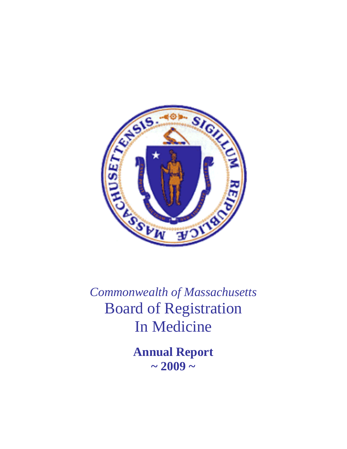

*Commonwealth of Massachusetts*  Board of Registration In Medicine

> **Annual Report ~ 2009 ~**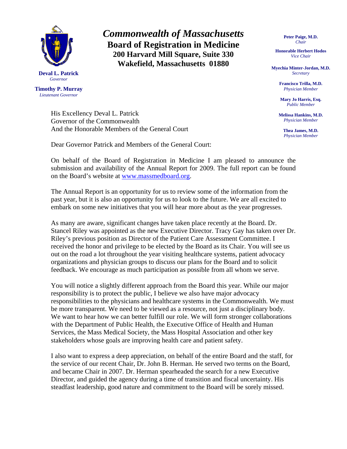

**Timothy P. Murray**  *Lieutenant Governor* 

> His Excellency Deval L. Patrick Governor of the Commonwealth And the Honorable Members of the General Court

Dear Governor Patrick and Members of the General Court:

On behalf of the Board of Registration in Medicine I am pleased to announce the submission and availability of the Annual Report for 2009. The full report can be found on the Board's website at [www.massmedboard.org.](http://www.massmedboard.org/)

*Commonwealth of Massachusetts*  **Board of Registration in Medicine 200 Harvard Mill Square, Suite 330 Wakefield, Massachusetts 01880** 

The Annual Report is an opportunity for us to review some of the information from the past year, but it is also an opportunity for us to look to the future. We are all excited to embark on some new initiatives that you will hear more about as the year progresses.

As many are aware, significant changes have taken place recently at the Board. Dr. Stancel Riley was appointed as the new Executive Director. Tracy Gay has taken over Dr. Riley's previous position as Director of the Patient Care Assessment Committee. I received the honor and privilege to be elected by the Board as its Chair. You will see us out on the road a lot throughout the year visiting healthcare systems, patient advocacy organizations and physician groups to discuss our plans for the Board and to solicit feedback. We encourage as much participation as possible from all whom we serve.

You will notice a slightly different approach from the Board this year. While our major responsibility is to protect the public, I believe we also have major advocacy responsibilities to the physicians and healthcare systems in the Commonwealth. We must be more transparent. We need to be viewed as a resource, not just a disciplinary body. We want to hear how we can better fulfill our role. We will form stronger collaborations with the Department of Public Health, the Executive Office of Health and Human Services, the Mass Medical Society, the Mass Hospital Association and other key stakeholders whose goals are improving health care and patient safety.

I also want to express a deep appreciation, on behalf of the entire Board and the staff, for the service of our recent Chair, Dr. John B. Herman. He served two terms on the Board, and became Chair in 2007. Dr. Herman spearheaded the search for a new Executive Director, and guided the agency during a time of transition and fiscal uncertainty. His steadfast leadership, good nature and commitment to the Board will be sorely missed.

**Peter Paige, M.D.**  *Chair* 

**Honorable Herbert Hodos**  *Vice Chair* 

**Myechia Minter-Jordan, M.D.**  *Secretary* 

> **Francisco Trilla, M.D.**  *Physician Member*

**Mary Jo Harris, Esq.**  *Public Member* 

**Melissa Hankins, M.D.**  *Physician Member* 

> **Thea James, M.D.**  *Physician Member*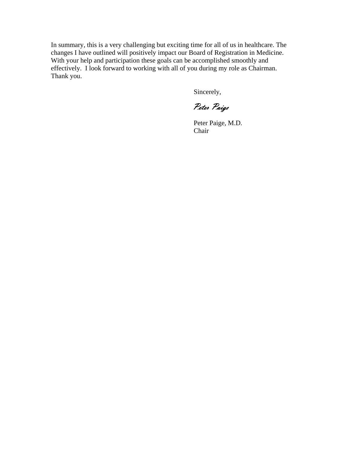In summary, this is a very challenging but exciting time for all of us in healthcare. The changes I have outlined will positively impact our Board of Registration in Medicine. With your help and participation these goals can be accomplished smoothly and effectively. I look forward to working with all of you during my role as Chairman. Thank you.

Sincerely,

Peter Paige

 Peter Paige, M.D. Chair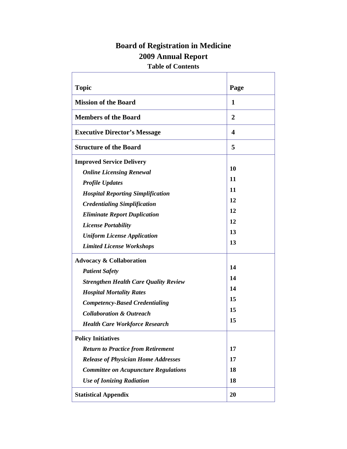# **Board of Registration in Medicine 2009 Annual Report**

# **Table of Contents**

Ē

Ť.

| <b>Topic</b>                                 | Page |
|----------------------------------------------|------|
| <b>Mission of the Board</b>                  | 1    |
| <b>Members of the Board</b>                  | 2    |
| <b>Executive Director's Message</b>          | 4    |
| <b>Structure of the Board</b>                | 5    |
| <b>Improved Service Delivery</b>             |      |
| <b>Online Licensing Renewal</b>              | 10   |
| <b>Profile Updates</b>                       | 11   |
| <b>Hospital Reporting Simplification</b>     | 11   |
| <b>Credentialing Simplification</b>          | 12   |
| <b>Eliminate Report Duplication</b>          | 12   |
| <b>License Portability</b>                   | 12   |
| <b>Uniform License Application</b>           | 13   |
| <b>Limited License Workshops</b>             | 13   |
| <b>Advocacy &amp; Collaboration</b>          |      |
| <b>Patient Safety</b>                        | 14   |
| <b>Strengthen Health Care Quality Review</b> | 14   |
| <b>Hospital Mortality Rates</b>              | 14   |
| <b>Competency-Based Credentialing</b>        | 15   |
| <b>Collaboration &amp; Outreach</b>          | 15   |
| <b>Health Care Workforce Research</b>        | 15   |
| <b>Policy Initiatives</b>                    |      |
| <b>Return to Practice from Retirement</b>    | 17   |
| <b>Release of Physician Home Addresses</b>   | 17   |
| <b>Committee on Acupuncture Regulations</b>  | 18   |
| <b>Use of Ionizing Radiation</b>             | 18   |
| <b>Statistical Appendix</b>                  | 20   |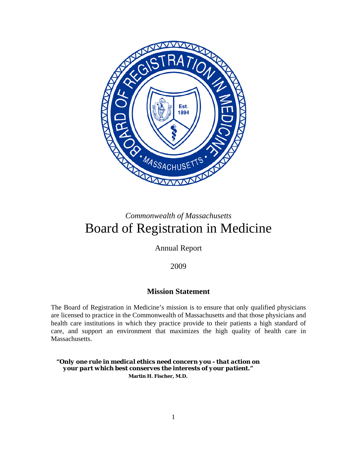

# *Commonwealth of Massachusetts*  Board of Registration in Medicine

Annual Report

2009

# **Mission Statement**

The Board of Registration in Medicine's mission is to ensure that only qualified physicians are licensed to practice in the Commonwealth of Massachusetts and that those physicians and health care institutions in which they practice provide to their patients a high standard of care, and support an environment that maximizes the high quality of health care in Massachusetts.

*"Only one rule in medical ethics need concern you - that action on your part which best conserves the interests of your patient."*  **Martin H. Fischer, M.D.**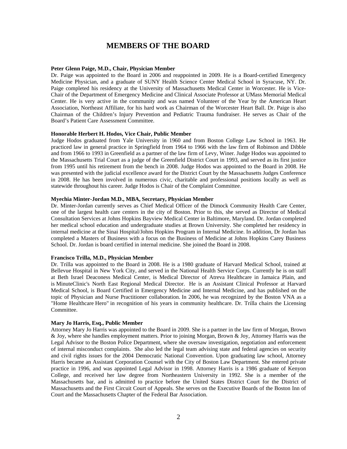### **MEMBERS OF THE BOARD**

#### **Peter Glenn Paige, M.D., Chair, Physician Member**

Dr. Paige was appointed to the Board in 2006 and reappointed in 2009. He is a Board-certified Emergency Medicine Physician, and a graduate of SUNY Health Science Center Medical School in Syracuse, NY. Dr. Paige completed his residency at the University of Massachusetts Medical Center in Worcester. He is Vice-Chair of the Department of Emergency Medicine and Clinical Associate Professor at UMass Memorial Medical Center. He is very active in the community and was named Volunteer of the Year by the American Heart Association, Northeast Affiliate, for his hard work as Chairman of the Worcester Heart Ball. Dr. Paige is also Chairman of the Children's Injury Prevention and Pediatric Trauma fundraiser. He serves as Chair of the Board's Patient Care Assessment Committee.

#### **Honorable Herbert H. Hodos, Vice Chair, Public Member**

Judge Hodos graduated from Yale University in 1960 and from Boston College Law School in 1963. He practiced law in general practice in Springfield from 1964 to 1966 with the law firm of Robinson and Dibble and from 1966 to 1993 in Greenfield as a partner of the law firm of Levy, Winer. Judge Hodos was appointed to the Massachusetts Trial Court as a judge of the Greenfield District Court in 1993, and served as its first justice from 1995 until his retirement from the bench in 2008. Judge Hodos was appointed to the Board in 2008. He was presented with the judicial excellence award for the District Court by the Massachusetts Judges Conference in 2008. He has been involved in numerous civic, charitable and professional positions locally as well as statewide throughout his career. Judge Hodos is Chair of the Complaint Committee.

#### **Myechia Minter-Jordan M.D., MBA, Secretary, Physician Member**

Dr. Minter-Jordan currently serves as Chief Medical Officer of the Dimock Community Health Care Center, one of the largest health care centers in the city of Boston. Prior to this, she served as Director of Medical Consultation Services at Johns Hopkins Bayview Medical Center in Baltimore, Maryland. Dr. Jordan completed her medical school education and undergraduate studies at Brown University. She completed her residency in internal medicine at the Sinai Hospital/Johns Hopkins Program in Internal Medicine. In addition, Dr Jordan has completed a Masters of Business with a focus on the Business of Medicine at Johns Hopkins Carey Business School. Dr. Jordan is board certified in internal medicine. She joined the Board in 2008.

#### **Francisco Trilla, M.D., Physician Member**

Dr. Trilla was appointed to the Board in 2008. He is a 1980 graduate of Harvard Medical School, trained at Bellevue Hospital in New York City, and served in the National Health Service Corps. Currently he is on staff at Beth Israel Deaconess Medical Center, is Medical Director of Atreva Healthcare in Jamaica Plain, and is MinuteClinic's North East Regional Medical Director. He is an Assistant Clinical Professor at Harvard Medical School, is Board Certified in Emergency Medicine and Internal Medicine, and has published on the topic of Physician and Nurse Practitioner collaboration. In 2006, he was recognized by the Boston VNA as a "Home Healthcare Hero" in recognition of his years in community healthcare. Dr. Trilla chairs the Licensing Committee.

#### **Mary Jo Harris, Esq., Public Member**

Attorney Mary Jo Harris was appointed to the Board in 2009. She is a partner in the law firm of Morgan, Brown & Joy, where she handles employment matters. Prior to joining Morgan, Brown & Joy, Attorney Harris was the Legal Advisor to the Boston Police Department, where she oversaw investigation, negotiation and enforcement of internal misconduct complaints. She also led the legal team advising state and federal agencies on security and civil rights issues for the 2004 Democratic National Convention. Upon graduating law school, Attorney Harris became an Assistant Corporation Counsel with the City of Boston Law Department. She entered private practice in 1996, and was appointed Legal Advisor in 1998. Attorney Harris is a 1986 graduate of Kenyon College, and received her law degree from Northeastern University in 1992. She is a member of the Massachusetts bar, and is admitted to practice before the United States District Court for the District of Massachusetts and the First Circuit Court of Appeals. She serves on the Executive Boards of the Boston Inn of Court and the Massachusetts Chapter of the Federal Bar Association.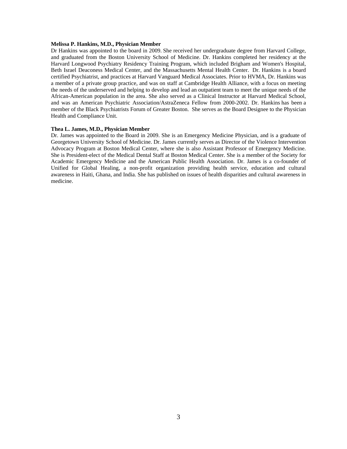#### **Melissa P. Hankins, M.D., Physician Member**

Dr Hankins was appointed to the board in 2009. She received her undergraduate degree from Harvard College, and graduated from the Boston University School of Medicine. Dr. Hankins completed her residency at the Harvard Longwood Psychiatry Residency Training Program, which included Brigham and Women's Hospital, Beth Israel Deaconess Medical Center, and the Massachusetts Mental Health Center. Dr. Hankins is a board certified Psychiatrist, and practices at Harvard Vanguard Medical Associates. Prior to HVMA, Dr. Hankins was a member of a private group practice, and was on staff at Cambridge Health Alliance, with a focus on meeting the needs of the underserved and helping to develop and lead an outpatient team to meet the unique needs of the African-American population in the area. She also served as a Clinical Instructor at Harvard Medical School, and was an American Psychiatric Association/AstraZeneca Fellow from 2000-2002. Dr. Hankins has been a member of the Black Psychiatrists Forum of Greater Boston. She serves as the Board Designee to the Physician Health and Compliance Unit.

#### **Thea L. James, M.D., Physician Member**

Dr. James was appointed to the Board in 2009. She is an Emergency Medicine Physician, and is a graduate of Georgetown University School of Medicine. Dr. James currently serves as Director of the Violence Intervention Advocacy Program at Boston Medical Center, where she is also Assistant Professor of Emergency Medicine. She is President-elect of the Medical Dental Staff at Boston Medical Center. She is a member of the Society for Academic Emergency Medicine and the American Public Health Association. Dr. James is a co-founder of Unified for Global Healing, a non-profit organization providing health service, education and cultural awareness in Haiti, Ghana, and India. She has published on issues of health disparities and cultural awareness in medicine.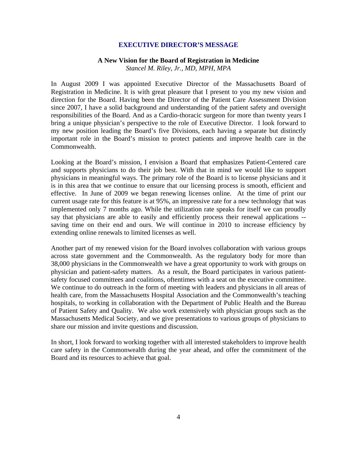### **EXECUTIVE DIRECTOR'S MESSAGE**

# **A New Vision for the Board of Registration in Medicine**

*Stancel M. Riley, Jr., MD, MPH, MPA* 

In August 2009 I was appointed Executive Director of the Massachusetts Board of Registration in Medicine. It is with great pleasure that I present to you my new vision and direction for the Board. Having been the Director of the Patient Care Assessment Division since 2007, I have a solid background and understanding of the patient safety and oversight responsibilities of the Board. And as a Cardio-thoracic surgeon for more than twenty years I bring a unique physician's perspective to the role of Executive Director. I look forward to my new position leading the Board's five Divisions, each having a separate but distinctly important role in the Board's mission to protect patients and improve health care in the Commonwealth.

Looking at the Board's mission, I envision a Board that emphasizes Patient-Centered care and supports physicians to do their job best. With that in mind we would like to support physicians in meaningful ways. The primary role of the Board is to license physicians and it is in this area that we continue to ensure that our licensing process is smooth, efficient and effective. In June of 2009 we began renewing licenses online. At the time of print our current usage rate for this feature is at 95%, an impressive rate for a new technology that was implemented only 7 months ago. While the utilization rate speaks for itself we can proudly say that physicians are able to easily and efficiently process their renewal applications - saving time on their end and ours. We will continue in 2010 to increase efficiency by extending online renewals to limited licenses as well.

Another part of my renewed vision for the Board involves collaboration with various groups across state government and the Commonwealth. As the regulatory body for more than 38,000 physicians in the Commonwealth we have a great opportunity to work with groups on physician and patient-safety matters. As a result, the Board participates in various patientsafety focused committees and coalitions, oftentimes with a seat on the executive committee. We continue to do outreach in the form of meeting with leaders and physicians in all areas of health care, from the Massachusetts Hospital Association and the Commonwealth's teaching hospitals, to working in collaboration with the Department of Public Health and the Bureau of Patient Safety and Quality. We also work extensively with physician groups such as the Massachusetts Medical Society, and we give presentations to various groups of physicians to share our mission and invite questions and discussion.

In short, I look forward to working together with all interested stakeholders to improve health care safety in the Commonwealth during the year ahead, and offer the commitment of the Board and its resources to achieve that goal.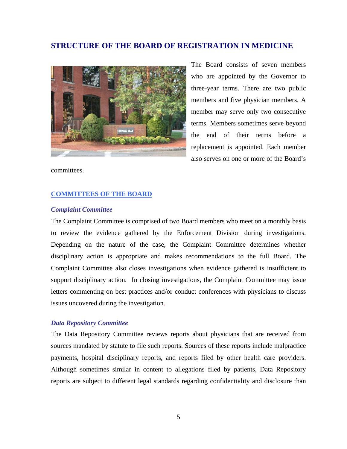### **STRUCTURE OF THE BOARD OF REGISTRATION IN MEDICINE**



The Board consists of seven members who are appointed by the Governor to three-year terms. There are two public members and five physician members. A member may serve only two consecutive terms. Members sometimes serve beyond the end of their terms before a replacement is appointed. Each member also serves on one or more of the Board's

committees.

#### **COMMITTEES OF THE BOARD**

#### *Complaint Committee*

The Complaint Committee is comprised of two Board members who meet on a monthly basis to review the evidence gathered by the Enforcement Division during investigations. Depending on the nature of the case, the Complaint Committee determines whether disciplinary action is appropriate and makes recommendations to the full Board. The Complaint Committee also closes investigations when evidence gathered is insufficient to support disciplinary action. In closing investigations, the Complaint Committee may issue letters commenting on best practices and/or conduct conferences with physicians to discuss issues uncovered during the investigation.

#### *Data Repository Committee*

The Data Repository Committee reviews reports about physicians that are received from sources mandated by statute to file such reports. Sources of these reports include malpractice payments, hospital disciplinary reports, and reports filed by other health care providers. Although sometimes similar in content to allegations filed by patients, Data Repository reports are subject to different legal standards regarding confidentiality and disclosure than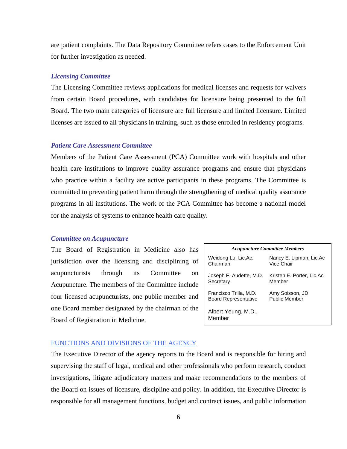are patient complaints. The Data Repository Committee refers cases to the Enforcement Unit for further investigation as needed.

#### *Licensing Committee*

The Licensing Committee reviews applications for medical licenses and requests for waivers from certain Board procedures, with candidates for licensure being presented to the full Board. The two main categories of licensure are full licensure and limited licensure. Limited licenses are issued to all physicians in training, such as those enrolled in residency programs.

#### *Patient Care Assessment Committee*

Members of the Patient Care Assessment (PCA) Committee work with hospitals and other health care institutions to improve quality assurance programs and ensure that physicians who practice within a facility are active participants in these programs. The Committee is committed to preventing patient harm through the strengthening of medical quality assurance programs in all institutions. The work of the PCA Committee has become a national model for the analysis of systems to enhance health care quality.

#### *Committee on Acupuncture*

The Board of Registration in Medicine also has jurisdiction over the licensing and disciplining of acupuncturists through its Committee on Acupuncture. The members of the Committee include four licensed acupuncturists, one public member and one Board member designated by the chairman of the Board of Registration in Medicine.

| <b>Acupuncture Committee Members</b> |                           |  |  |  |  |  |  |  |
|--------------------------------------|---------------------------|--|--|--|--|--|--|--|
| Weidong Lu, Lic.Ac.                  | Nancy E. Lipman, Lic.Ac   |  |  |  |  |  |  |  |
| Chairman                             | Vice Chair                |  |  |  |  |  |  |  |
| Joseph F. Audette, M.D.              | Kristen E. Porter, Lic.Ac |  |  |  |  |  |  |  |
| Secretary                            | Member                    |  |  |  |  |  |  |  |
| Francisco Trilla, M.D.               | Amy Soisson, JD           |  |  |  |  |  |  |  |
| <b>Board Representative</b>          | <b>Public Member</b>      |  |  |  |  |  |  |  |
| Albert Yeung, M.D.,<br>Member        |                           |  |  |  |  |  |  |  |

#### FUNCTIONS AND DIVISIONS OF THE AGENCY

The Executive Director of the agency reports to the Board and is responsible for hiring and supervising the staff of legal, medical and other professionals who perform research, conduct investigations, litigate adjudicatory matters and make recommendations to the members of the Board on issues of licensure, discipline and policy. In addition, the Executive Director is responsible for all management functions, budget and contract issues, and public information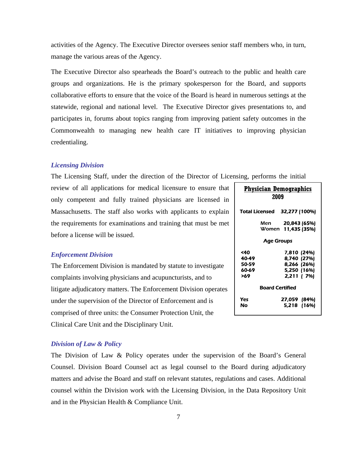activities of the Agency. The Executive Director oversees senior staff members who, in turn, manage the various areas of the Agency.

The Executive Director also spearheads the Board's outreach to the public and health care groups and organizations. He is the primary spokesperson for the Board, and supports collaborative efforts to ensure that the voice of the Board is heard in numerous settings at the statewide, regional and national level. The Executive Director gives presentations to, and participates in, forums about topics ranging from improving patient safety outcomes in the Commonwealth to managing new health care IT initiatives to improving physician credentialing.

#### *Licensing Division*

The Licensing Staff, under the direction of the Director of Licensing, performs the initial

review of all applications for medical licensure to ensure that only competent and fully trained physicians are licensed in Massachusetts. The staff also works with applicants to explain the requirements for examinations and training that must be met before a license will be issued.

#### *Enforcement Division*

The Enforcement Division is mandated by statute to investigate complaints involving physicians and acupuncturists, and to litigate adjudicatory matters. The Engo under the supervision of the Director comprised of three units: the Consun Clinical Care Unit and the Disciplinary Unit.

| nforcement Division operates                     |  |
|--------------------------------------------------|--|
| r of Enforcement and is                          |  |
| mer Protection Unit, the                         |  |
| $\sim$ $\sim$ $\sim$ $\sim$ $\sim$ $\sim$ $\sim$ |  |

# **Physician Demographics 2009**  Total Licensed 32,277 (100%) Men 20,843 (65%) Women 11,435 (35%) Age Groups <40 7,810 (24%) 40-49 8,740 (27%) 8.266 (26%) 60-69 5,250 (16%) >69 2,211 ( 7%) Board Certified Yes 27,059 (84%) No 5,218 (16%)

#### *Division of Law & Policy*

The Division of Law & Policy operates under the supervision of the Board's General Counsel. Division Board Counsel act as legal counsel to the Board during adjudicatory matters and advise the Board and staff on relevant statutes, regulations and cases. Additional counsel within the Division work with the Licensing Division, in the Data Repository Unit and in the Physician Health & Compliance Unit.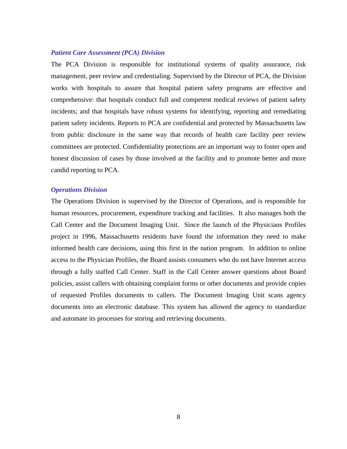#### *Patient Care Assessment (PCA) Division*

The PCA Division is responsible for institutional systems of quality assurance, risk management, peer review and credentialing. Supervised by the Director of PCA, the Division works with hospitals to assure that hospital patient safety programs are effective and comprehensive: that hospitals conduct full and competent medical reviews of patient safety incidents; and that hospitals have robust systems for identifying, reporting and remediating patient safety incidents. Reports to PCA are confidential and protected by Massachusetts law from public disclosure in the same way that records of health care facility peer review committees are protected. Confidentiality protections are an important way to foster open and honest discussion of cases by those involved at the facility and to promote better and more candid reporting to PCA.

#### *Operations Division*

The Operations Division is supervised by the Director of Operations, and is responsible for human resources, procurement, expenditure tracking and facilities. It also manages both the Call Center and the Document Imaging Unit. Since the launch of the Physicians Profiles project in 1996, Massachusetts residents have found the information they need to make informed health care decisions, using this first in the nation program. In addition to online access to the Physician Profiles, the Board assists consumers who do not have Internet access through a fully staffed Call Center. Staff in the Call Center answer questions about Board policies, assist callers with obtaining complaint forms or other documents and provide copies of requested Profiles documents to callers. The Document Imaging Unit scans agency documents into an electronic database. This system has allowed the agency to standardize and automate its processes for storing and retrieving documents.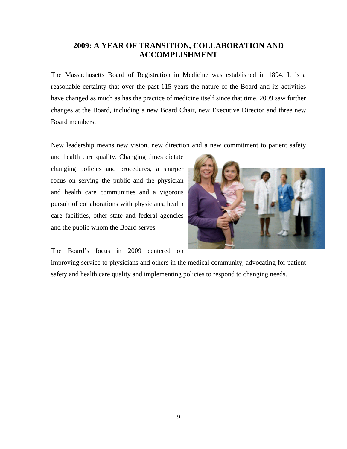# **2009: A YEAR OF TRANSITION, COLLABORATION AND ACCOMPLISHMENT**

The Massachusetts Board of Registration in Medicine was established in 1894. It is a reasonable certainty that over the past 115 years the nature of the Board and its activities have changed as much as has the practice of medicine itself since that time. 2009 saw further changes at the Board, including a new Board Chair, new Executive Director and three new Board members.

New leadership means new vision, new direction and a new commitment to patient safety

and health care quality. Changing times dictate changing policies and procedures, a sharper focus on serving the public and the physician and health care communities and a vigorous pursuit of collaborations with physicians, health care facilities, other state and federal agencies and the public whom the Board serves.

The Board's focus in 2009 centered on



improving service to physicians and others in the medical community, advocating for patient safety and health care quality and implementing policies to respond to changing needs.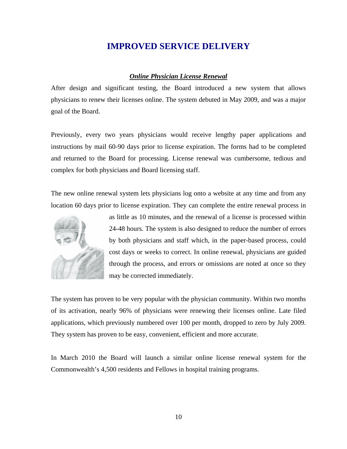# **IMPROVED SERVICE DELIVERY**

### *Online Physician License Renewal*

After design and significant testing, the Board introduced a new system that allows physicians to renew their licenses online. The system debuted in May 2009, and was a major goal of the Board.

Previously, every two years physicians would receive lengthy paper applications and instructions by mail 60-90 days prior to license expiration. The forms had to be completed and returned to the Board for processing. License renewal was cumbersome, tedious and complex for both physicians and Board licensing staff.

The new online renewal system lets physicians log onto a website at any time and from any location 60 days prior to license expiration. They can complete the entire renewal process in



as little as 10 minutes, and the renewal of a license is processed within 24-48 hours. The system is also designed to reduce the number of errors by both physicians and staff which, in the paper-based process, could cost days or weeks to correct. In online renewal, physicians are guided through the process, and errors or omissions are noted at once so they may be corrected immediately.

The system has proven to be very popular with the physician community. Within two months of its activation, nearly 96% of physicians were renewing their licenses online. Late filed applications, which previously numbered over 100 per month, dropped to zero by July 2009. They system has proven to be easy, convenient, efficient and more accurate.

In March 2010 the Board will launch a similar online license renewal system for the Commonwealth's 4,500 residents and Fellows in hospital training programs.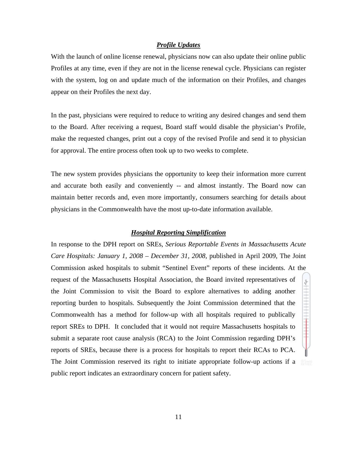#### *Profile Updates*

With the launch of online license renewal, physicians now can also update their online public Profiles at any time, even if they are not in the license renewal cycle. Physicians can register with the system, log on and update much of the information on their Profiles, and changes appear on their Profiles the next day.

In the past, physicians were required to reduce to writing any desired changes and send them to the Board. After receiving a request, Board staff would disable the physician's Profile, make the requested changes, print out a copy of the revised Profile and send it to physician for approval. The entire process often took up to two weeks to complete.

The new system provides physicians the opportunity to keep their information more current and accurate both easily and conveniently -- and almost instantly. The Board now can maintain better records and, even more importantly, consumers searching for details about physicians in the Commonwealth have the most up-to-date information available.

### *Hospital Reporting Simplification*

In response to the DPH report on SREs, *Serious Reportable Events in Massachusetts Acute Care Hospitals: January 1, 2008 – December 31, 2008,* published in April 2009, The Joint Commission asked hospitals to submit "Sentinel Event" reports of these incidents. At the request of the Massachusetts Hospital Association, the Board invited representatives of s. the Joint Commission to visit the Board to explore alternatives to adding another reporting burden to hospitals. Subsequently the Joint Commission determined that the Commonwealth has a method for follow-up with all hospitals required to publically report SREs to DPH. It concluded that it would not require Massachusetts hospitals to submit a separate root cause analysis (RCA) to the Joint Commission regarding DPH's reports of SREs, because there is a process for hospitals to report their RCAs to PCA. The Joint Commission reserved its right to initiate appropriate follow-up actions if a public report indicates an extraordinary concern for patient safety.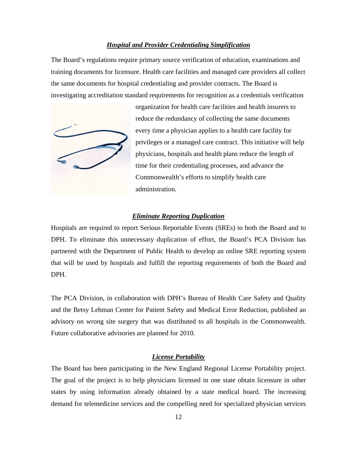#### *Hospital and Provider Credentialing Simplification*

The Board's regulations require primary source verification of education, examinations and training documents for licensure. Health care facilities and managed care providers all collect the same documents for hospital credentialing and provider contracts. The Board is investigating accreditation standard requirements for recognition as a credentials verification



organization for health care facilities and health insurers to reduce the redundancy of collecting the same documents every time a physician applies to a health care facility for privileges or a managed care contract. This initiative will help physicians, hospitals and health plans reduce the length of time for their credentialing processes, and advance the Commonwealth's efforts to simplify health care administration.

#### *Eliminate Reporting Duplication*

Hospitals are required to report Serious Reportable Events (SREs) to both the Board and to DPH. To eliminate this unnecessary duplication of effort, the Board's PCA Division has partnered with the Department of Public Health to develop an online SRE reporting system that will be used by hospitals and fulfill the reporting requirements of both the Board and DPH.

The PCA Division, in collaboration with DPH's Bureau of Health Care Safety and Quality and the Betsy Lehman Center for Patient Safety and Medical Error Reduction, published an advisory on wrong site surgery that was distributed to all hospitals in the Commonwealth. Future collaborative advisories are planned for 2010.

#### *License Portability*

The Board has been participating in the New England Regional License Portability project. The goal of the project is to help physicians licensed in one state obtain licensure in other states by using information already obtained by a state medical board. The increasing demand for telemedicine services and the compelling need for specialized physician services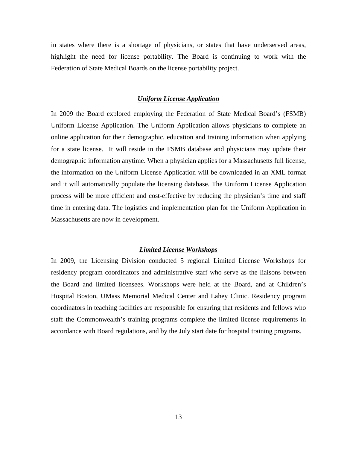in states where there is a shortage of physicians, or states that have underserved areas, highlight the need for license portability. The Board is continuing to work with the Federation of State Medical Boards on the license portability project.

#### *Uniform License Application*

In 2009 the Board explored employing the Federation of State Medical Board's (FSMB) Uniform License Application. The Uniform Application allows physicians to complete an online application for their demographic, education and training information when applying for a state license. It will reside in the FSMB database and physicians may update their demographic information anytime. When a physician applies for a Massachusetts full license, the information on the Uniform License Application will be downloaded in an XML format and it will automatically populate the licensing database. The Uniform License Application process will be more efficient and cost-effective by reducing the physician's time and staff time in entering data. The logistics and implementation plan for the Uniform Application in Massachusetts are now in development.

### *Limited License Workshops*

In 2009, the Licensing Division conducted 5 regional Limited License Workshops for residency program coordinators and administrative staff who serve as the liaisons between the Board and limited licensees. Workshops were held at the Board, and at Children's Hospital Boston, UMass Memorial Medical Center and Lahey Clinic. Residency program coordinators in teaching facilities are responsible for ensuring that residents and fellows who staff the Commonwealth's training programs complete the limited license requirements in accordance with Board regulations, and by the July start date for hospital training programs.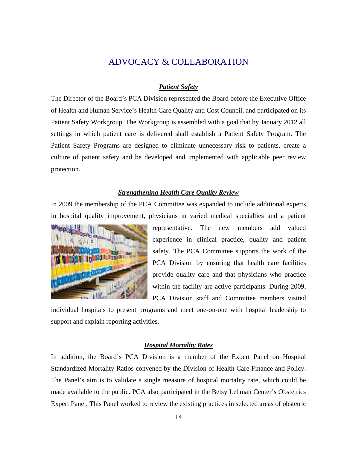# ADVOCACY & COLLABORATION

### *Patient Safety*

The Director of the Board's PCA Division represented the Board before the Executive Office of Health and Human Service's Health Care Quality and Cost Council, and participated on its Patient Safety Workgroup. The Workgroup is assembled with a goal that by January 2012 all settings in which patient care is delivered shall establish a Patient Safety Program. The Patient Safety Programs are designed to eliminate unnecessary risk to patients, create a culture of patient safety and be developed and implemented with applicable peer review protection.

### *Strengthening Health Care Quality Review*

In 2009 the membership of the PCA Committee was expanded to include additional experts in hospital quality improvement, physicians in varied medical specialties and a patient



representative. The new members add valued experience in clinical practice, quality and patient safety. The PCA Committee supports the work of the PCA Division by ensuring that health care facilities provide quality care and that physicians who practice within the facility are active participants. During 2009, PCA Division staff and Committee members visited

individual hospitals to present programs and meet one-on-one with hospital leadership to support and explain reporting activities.

### *Hospital Mortality Rates*

In addition, the Board's PCA Division is a member of the Expert Panel on Hospital Standardized Mortality Ratios convened by the Division of Health Care Finance and Policy. The Panel's aim is to validate a single measure of hospital mortality rate, which could be made available to the public. PCA also participated in the Betsy Lehman Center's Obstetrics Expert Panel. This Panel worked to review the existing practices in selected areas of obstetric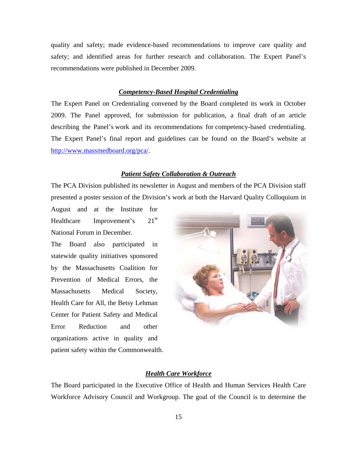quality and safety; made evidence-based recommendations to improve care quality and safety; and identified areas for further research and collaboration. The Expert Panel's recommendations were published in December 2009.

#### *Competency-Based Hospital Credentialing*

The Expert Panel on Credentialing convened by the Board completed its work in October 2009. The Panel approved, for submission for publication, a final draft of an article describing the Panel's work and its recommendations for competency-based credentialing. The Expert Panel's final report and guidelines can be found on the Board's website at <http://www.massmedboard.org/pca/>.

#### *Patient Safety Collaboration & Outreach*

The PCA Division published its newsletter in August and members of the PCA Division staff presented a poster session of the Division's work at both the Harvard Quality Colloquium in

August and at the Institute for Healthcare Improvement's 21<sup>st</sup> National Forum in December.

The Board also participated in statewide quality initiatives sponsored by the Massachusetts Coalition for Prevention of Medical Errors, the Massachusetts Medical Society, Health Care for All, the Betsy Lehman Center for Patient Safety and Medical Error Reduction and other organizations active in quality and patient safety within the Commonwealth.



#### *Health Care Workforce*

The Board participated in the Executive Office of Health and Human Services Health Care Workforce Advisory Council and Workgroup. The goal of the Council is to determine the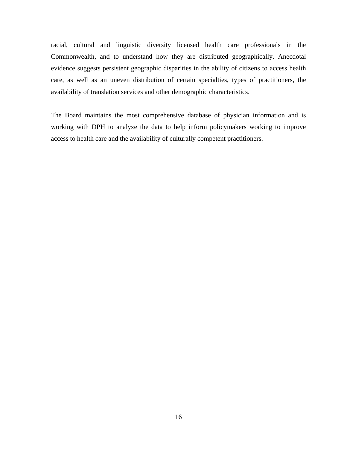racial, cultural and linguistic diversity licensed health care professionals in the Commonwealth, and to understand how they are distributed geographically. Anecdotal evidence suggests persistent geographic disparities in the ability of citizens to access health care, as well as an uneven distribution of certain specialties, types of practitioners, the availability of translation services and other demographic characteristics.

The Board maintains the most comprehensive database of physician information and is working with DPH to analyze the data to help inform policymakers working to improve access to health care and the availability of culturally competent practitioners.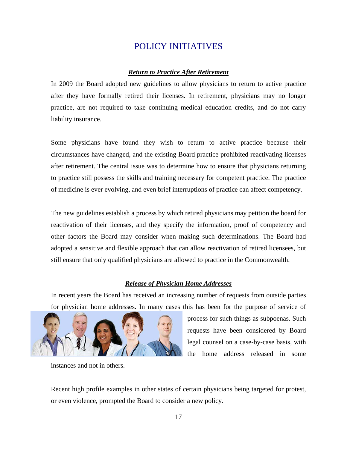# POLICY INITIATIVES

#### *Return to Practice After Retirement*

In 2009 the Board adopted new guidelines to allow physicians to return to active practice after they have formally retired their licenses. In retirement, physicians may no longer practice, are not required to take continuing medical education credits, and do not carry liability insurance.

Some physicians have found they wish to return to active practice because their circumstances have changed, and the existing Board practice prohibited reactivating licenses after retirement. The central issue was to determine how to ensure that physicians returning to practice still possess the skills and training necessary for competent practice. The practice of medicine is ever evolving, and even brief interruptions of practice can affect competency.

The new guidelines establish a process by which retired physicians may petition the board for reactivation of their licenses, and they specify the information, proof of competency and other factors the Board may consider when making such determinations. The Board had adopted a sensitive and flexible approach that can allow reactivation of retired licensees, but still ensure that only qualified physicians are allowed to practice in the Commonwealth.

### *Release of Physician Home Addresses*

In recent years the Board has received an increasing number of requests from outside parties for physician home addresses. In many cases this has been for the purpose of service of



process for such things as subpoenas. Such requests have been considered by Board legal counsel on a case-by-case basis, with the home address released in some

instances and not in others.

Recent high profile examples in other states of certain physicians being targeted for protest, or even violence, prompted the Board to consider a new policy.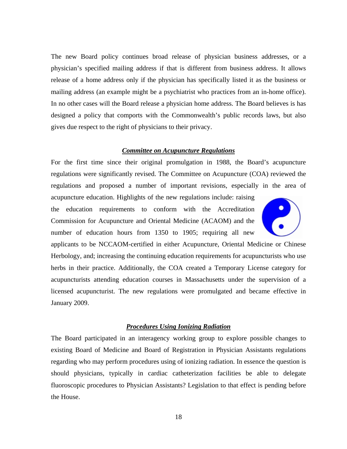The new Board policy continues broad release of physician business addresses, or a physician's specified mailing address if that is different from business address. It allows release of a home address only if the physician has specifically listed it as the business or mailing address (an example might be a psychiatrist who practices from an in-home office). In no other cases will the Board release a physician home address. The Board believes is has designed a policy that comports with the Commonwealth's public records laws, but also gives due respect to the right of physicians to their privacy.

#### *Committee on Acupuncture Regulations*

For the first time since their original promulgation in 1988, the Board's acupuncture regulations were significantly revised. The Committee on Acupuncture (COA) reviewed the regulations and proposed a number of important revisions, especially in the area of

acupuncture education. Highlights of the new regulations include: raising the education requirements to conform with the Accreditation Commission for Acupuncture and Oriental Medicine (ACAOM) and the number of education hours from 1350 to 1905; requiring all new



applicants to be NCCAOM-certified in either Acupuncture, Oriental Medicine or Chinese Herbology, and; increasing the continuing education requirements for acupuncturists who use herbs in their practice. Additionally, the COA created a Temporary License category for acupuncturists attending education courses in Massachusetts under the supervision of a licensed acupuncturist. The new regulations were promulgated and became effective in January 2009.

#### *Procedures Using Ionizing Radiation*

The Board participated in an interagency working group to explore possible changes to existing Board of Medicine and Board of Registration in Physician Assistants regulations regarding who may perform procedures using of ionizing radiation. In essence the question is should physicians, typically in cardiac catheterization facilities be able to delegate fluoroscopic procedures to Physician Assistants? Legislation to that effect is pending before the House.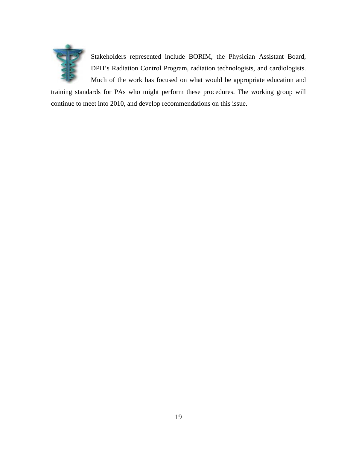

Stakeholders represented include BORIM, the Physician Assistant Board, DPH's Radiation Control Program, radiation technologists, and cardiologists. Much of the work has focused on what would be appropriate education and

training standards for PAs who might perform these procedures. The working group will continue to meet into 2010, and develop recommendations on this issue.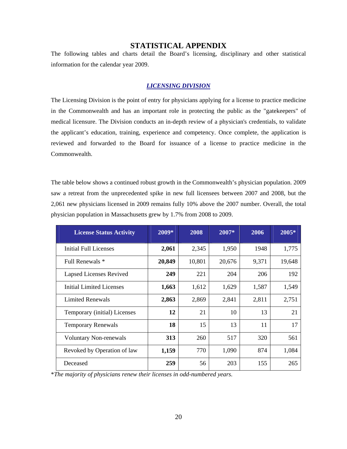### **STATISTICAL APPENDIX**

The following tables and charts detail the Board's licensing, disciplinary and other statistical information for the calendar year 2009.

#### *LICENSING DIVISION*

The Licensing Division is the point of entry for physicians applying for a license to practice medicine in the Commonwealth and has an important role in protecting the public as the "gatekeepers" of medical licensure. The Division conducts an in-depth review of a physician's credentials, to validate the applicant's education, training, experience and competency. Once complete, the application is reviewed and forwarded to the Board for issuance of a license to practice medicine in the Commonwealth.

The table below shows a continued robust growth in the Commonwealth's physician population. 2009 saw a retreat from the unprecedented spike in new full licensees between 2007 and 2008, but the 2,061 new physicians licensed in 2009 remains fully 10% above the 2007 number. Overall, the total physician population in Massachusetts grew by 1.7% from 2008 to 2009.

| <b>License Status Activity</b> | $2009*$ | 2008   | $2007*$ | 2006  | $2005*$ |
|--------------------------------|---------|--------|---------|-------|---------|
| Initial Full Licenses          | 2,061   | 2,345  | 1,950   | 1948  | 1,775   |
| Full Renewals *                | 20,849  | 10,801 | 20,676  | 9,371 | 19,648  |
| <b>Lapsed Licenses Revived</b> | 249     | 221    | 204     | 206   | 192     |
| Initial Limited Licenses       | 1,663   | 1,612  | 1,629   | 1,587 | 1,549   |
| <b>Limited Renewals</b>        | 2,863   | 2,869  | 2,841   | 2,811 | 2,751   |
| Temporary (initial) Licenses   | 12      | 21     | 10      | 13    | 21      |
| <b>Temporary Renewals</b>      | 18      | 15     | 13      | 11    | 17      |
| <b>Voluntary Non-renewals</b>  | 313     | 260    | 517     | 320   | 561     |
| Revoked by Operation of law    | 1,159   | 770    | 1,090   | 874   | 1,084   |
| Deceased                       | 259     | 56     | 203     | 155   | 265     |

\**The majority of physicians renew their licenses in odd-numbered years.*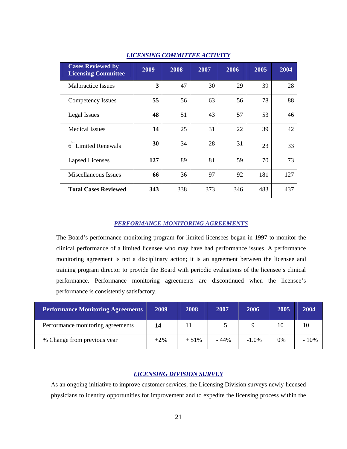| <b>Cases Reviewed by</b><br><b>Licensing Committee</b> | 2009 | 2008 | 2007 | 2006 | 2005 | 2004 |
|--------------------------------------------------------|------|------|------|------|------|------|
| <b>Malpractice Issues</b>                              | 3    | 47   | 30   | 29   | 39   | 28   |
| Competency Issues                                      | 55   | 56   | 63   | 56   | 78   | 88   |
| Legal Issues                                           | 48   | 51   | 43   | 57   | 53   | 46   |
| <b>Medical Issues</b>                                  | 14   | 25   | 31   | 22   | 39   | 42   |
| th<br><b>Limited Renewals</b><br>6                     | 30   | 34   | 28   | 31   | 23   | 33   |
| <b>Lapsed Licenses</b>                                 | 127  | 89   | 81   | 59   | 70   | 73   |
| Miscellaneous Issues                                   | 66   | 36   | 97   | 92   | 181  | 127  |
| <b>Total Cases Reviewed</b>                            | 343  | 338  | 373  | 346  | 483  | 437  |

#### *LICENSING COMMITTEE ACTIVITY*

#### *PERFORMANCE MONITORING AGREEMENTS*

The Board's performance-monitoring program for limited licensees began in 1997 to monitor the clinical performance of a limited licensee who may have had performance issues. A performance monitoring agreement is not a disciplinary action; it is an agreement between the licensee and training program director to provide the Board with periodic evaluations of the licensee's clinical performance. Performance monitoring agreements are discontinued when the licensee's performance is consistently satisfactory.

| <b>Performance Monitoring Agreements</b> | 2009   | 2008   | 2007   | 2006     | 2005 | 2004  |
|------------------------------------------|--------|--------|--------|----------|------|-------|
| Performance monitoring agreements        | 14     |        |        |          | 10   | 10    |
| % Change from previous year              | $+2\%$ | $+51%$ | $-44%$ | $-1.0\%$ | 0%   | - 10% |

#### *LICENSING DIVISION SURVEY*

As an ongoing initiative to improve customer services, the Licensing Division surveys newly licensed physicians to identify opportunities for improvement and to expedite the licensing process within the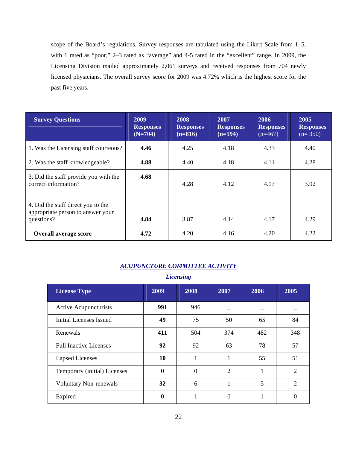scope of the Board's regulations. Survey responses are tabulated using the Likert Scale from 1–5, with 1 rated as "poor," 2-3 rated as "average" and 4-5 rated in the "excellent" range. In 2009, the Licensing Division mailed approximately 2,061 surveys and received responses from 704 newly licensed physicians. The overall survey score for 2009 was 4.72% which is the highest score for the past five years.

| <b>Survey Questions</b>                                                               | 2009<br><b>Responses</b><br>$(N=704)$ | 2008<br><b>Responses</b><br>$(n=816)$ | 2007<br><b>Responses</b><br>$(n=594)$ | 2006<br><b>Responses</b><br>$(n=467)$ | 2005<br><b>Responses</b><br>$(n=350)$ |
|---------------------------------------------------------------------------------------|---------------------------------------|---------------------------------------|---------------------------------------|---------------------------------------|---------------------------------------|
| 1. Was the Licensing staff courteous?                                                 | 4.46                                  | 4.25                                  | 4.18                                  | 4.33                                  | 4.40                                  |
| 2. Was the staff knowledgeable?                                                       | 4.88                                  | 4.40                                  | 4.18                                  | 4.11                                  | 4.28                                  |
| 3. Did the staff provide you with the<br>correct information?                         | 4.68                                  | 4.28                                  | 4.12                                  | 4.17                                  | 3.92                                  |
| 4. Did the staff direct you to the<br>appropriate person to answer your<br>questions? | 4.84                                  | 3.87                                  | 4.14                                  | 4.17                                  | 4.29                                  |
| <b>Overall average score</b>                                                          | 4.72                                  | 4.20                                  | 4.16                                  | 4.20                                  | 4.22                                  |

### *ACUPUNCTURE COMMITTEE ACTIVITY*

*Licensing* 

| <b>License Type</b>           | 2009         | 2008           | 2007 | 2006 | 2005           |
|-------------------------------|--------------|----------------|------|------|----------------|
| Active Acupuncturists         | 991          | 946            |      |      |                |
| Initial Licenses Issued       | 49           | 75             | 50   | 65   | 84             |
| Renewals                      | 411          | 504            | 374  | 482  | 348            |
| <b>Full Inactive Licenses</b> | 92           | 92             | 63   | 78   | 57             |
| <b>Lapsed Licenses</b>        | 10           | 1              |      | 55   | 51             |
| Temporary (initial) Licenses  | $\mathbf{0}$ | $\overline{0}$ | 2    |      | 2              |
| <b>Voluntary Non-renewals</b> | 32           | 6              |      | 5    | $\overline{2}$ |
| Expired                       | $\bf{0}$     |                | 0    |      |                |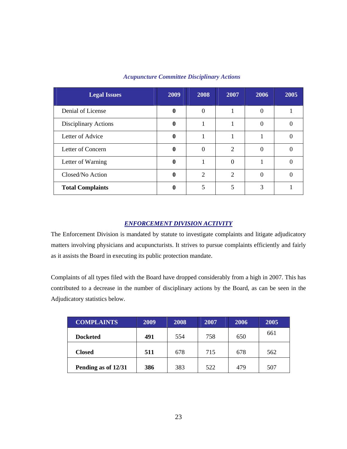| <b>Legal Issues</b>     | 2009 | 2008           | 2007                        | 2006 | 2005 |
|-------------------------|------|----------------|-----------------------------|------|------|
| Denial of License       | v    | $\Omega$       |                             |      |      |
| Disciplinary Actions    | 0    |                |                             |      |      |
| Letter of Advice        | o    |                |                             |      |      |
| Letter of Concern       |      | $\Omega$       | $\overline{c}$              |      |      |
| Letter of Warning       |      |                | 0                           |      |      |
| Closed/No Action        |      | $\overline{2}$ | $\mathcal{D}_{\mathcal{L}}$ |      |      |
| <b>Total Complaints</b> | 0    |                | 5                           | 3    |      |

#### *Acupuncture Committee Disciplinary Actions*

#### *ENFORCEMENT DIVISION ACTIVITY*

The Enforcement Division is mandated by statute to investigate complaints and litigate adjudicatory matters involving physicians and acupuncturists. It strives to pursue complaints efficiently and fairly as it assists the Board in executing its public protection mandate.

Complaints of all types filed with the Board have dropped considerably from a high in 2007. This has contributed to a decrease in the number of disciplinary actions by the Board, as can be seen in the Adjudicatory statistics below.

| <b>COMPLAINTS</b>   | 2009 | 2008 | 2007 | 2006 | 2005 |
|---------------------|------|------|------|------|------|
| <b>Docketed</b>     | 491  | 554  | 758  | 650  | 661  |
| <b>Closed</b>       | 511  | 678  | 715  | 678  | 562  |
| Pending as of 12/31 | 386  | 383  | 522  | 479  | 507  |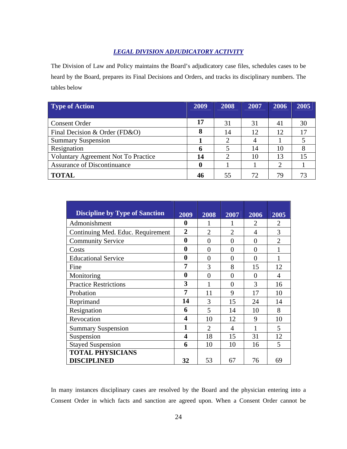### *LEGAL DIVISION ADJUDICATORY ACTIVITY*

The Division of Law and Policy maintains the Board's adjudicatory case files, schedules cases to be heard by the Board, prepares its Final Decisions and Orders, and tracks its disciplinary numbers. The tables below

| <b>Type of Action</b>                      | 2009 | 2008 | 2007 | 2006 | 2005 |
|--------------------------------------------|------|------|------|------|------|
|                                            |      |      |      |      |      |
| <b>Consent Order</b>                       | 17   | 31   | 31   | 41   | 30   |
| Final Decision & Order (FD&O)              | 8    | 14   | 12   | 12   | 17   |
| <b>Summary Suspension</b>                  |      | 2    |      |      |      |
| Resignation                                | 6    |      | 14   | 10   |      |
| <b>Voluntary Agreement Not To Practice</b> | 14   | റ    | 10   | 13   |      |
| <b>Assurance of Discontinuance</b>         | 0    |      |      | ി    |      |
| <b>TOTAL</b>                               | 46   | 55   | 72   | 79   |      |

| <b>Discipline by Type of Sanction</b> | 2009             | 2008           | 2007                        | 2006                  | 2005                        |
|---------------------------------------|------------------|----------------|-----------------------------|-----------------------|-----------------------------|
| Admonishment                          | 0                | 1              |                             | $\mathcal{D}_{\cdot}$ | $\mathcal{D}_{\mathcal{L}}$ |
| Continuing Med. Educ. Requirement     | $\overline{2}$   | $\overline{2}$ | $\mathcal{D}_{\mathcal{L}}$ | 4                     | 3                           |
| <b>Community Service</b>              | $\bf{0}$         | $\Omega$       | $\Omega$                    | $\Omega$              | $\overline{2}$              |
| Costs                                 | $\bf{0}$         | 0              | $\theta$                    | 0                     |                             |
| <b>Educational Service</b>            | $\boldsymbol{0}$ | 0              | $\Omega$                    | 0                     |                             |
| Fine                                  | 7                | 3              | 8                           | 15                    | 12                          |
| Monitoring                            | $\bf{0}$         | $\theta$       | $\Omega$                    | $\Omega$              | 4                           |
| <b>Practice Restrictions</b>          | 3                | 1              | 0                           | 3                     | 16                          |
| Probation                             | 7                | 11             | 9                           | 17                    | 10                          |
| Reprimand                             | 14               | 3              | 15                          | 24                    | 14                          |
| Resignation                           | 6                | 5              | 14                          | 10                    | 8                           |
| Revocation                            | 4                | 10             | 12                          | 9                     | 10                          |
| <b>Summary Suspension</b>             | 1                | $\mathfrak{D}$ | $\overline{A}$              |                       | 5                           |
| Suspension                            | 4                | 18             | 15                          | 31                    | 12                          |
| <b>Stayed Suspension</b>              | 6                | 10             | 10                          | 16                    | 5                           |
| <b>TOTAL PHYSICIANS</b>               |                  |                |                             |                       |                             |
| <b>DISCIPLINED</b>                    | 32               | 53             | 67                          | 76                    | 69                          |

In many instances disciplinary cases are resolved by the Board and the physician entering into a Consent Order in which facts and sanction are agreed upon. When a Consent Order cannot be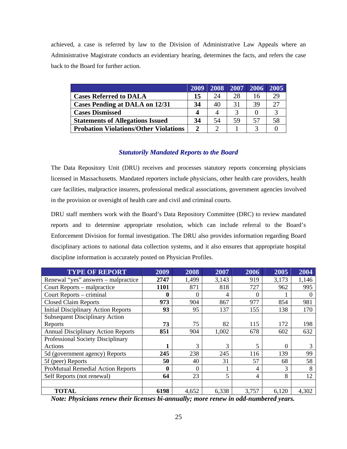achieved, a case is referred by law to the Division of Administrative Law Appeals where an Administrative Magistrate conducts an evidentiary hearing, determines the facts, and refers the case back to the Board for further action.

|                                              | 2009          | 2008 | 2007 | 2006 | 2005 |
|----------------------------------------------|---------------|------|------|------|------|
| <b>Cases Referred to DALA</b>                | 15            | 24   | 28   | 16   | 29   |
| <b>Cases Pending at DALA on 12/31</b>        | 34            | 40   | 31   | 39   | 27   |
| <b>Cases Dismissed</b>                       |               |      |      |      |      |
| <b>Statements of Allegations Issued</b>      | 34            | 54   | 59   | 57   | 58   |
| <b>Probation Violations/Other Violations</b> | $\mathcal{D}$ |      |      | 2    |      |

#### *Statutorily Mandated Reports to the Board*

The Data Repository Unit (DRU) receives and processes statutory reports concerning physicians licensed in Massachusetts. Mandated reporters include physicians, other health care providers, health care facilities, malpractice insurers, professional medical associations, government agencies involved in the provision or oversight of health care and civil and criminal courts.

DRU staff members work with the Board's Data Repository Committee (DRC) to review mandated reports and to determine appropriate resolution, which can include referral to the Board's Enforcement Division for formal investigation. The DRU also provides information regarding Board disciplinary actions to national data collection systems, and it also ensures that appropriate hospital discipline information is accurately posted on Physician Profiles.

| <b>TYPE OF REPORT</b>                      | 2009             | 2008     | 2007  | 2006     | 2005     | 2004     |
|--------------------------------------------|------------------|----------|-------|----------|----------|----------|
| Renewal "yes" answers – malpractice        | 2747             | 1,499    | 3,143 | 919      | 3,173    | 1,146    |
| Court Reports – malpractice                | 1101             | 871      | 818   | 727      | 962      | 995      |
| Court Reports – criminal                   | $\mathbf{0}$     | $\Omega$ | 4     | $\Omega$ |          | $\Omega$ |
| <b>Closed Claim Reports</b>                | 973              | 904      | 867   | 977      | 854      | 981      |
| <b>Initial Disciplinary Action Reports</b> | 93               | 95       | 137   | 155      | 138      | 170      |
| <b>Subsequent Disciplinary Action</b>      |                  |          |       |          |          |          |
| Reports                                    | 73               | 75       | 82    | 115      | 172      | 198      |
| <b>Annual Disciplinary Action Reports</b>  | 851              | 904      | 1,002 | 678      | 602      | 632      |
| Professional Society Disciplinary          |                  |          |       |          |          |          |
| Actions                                    |                  | 3        | 3     | 5        | $\Omega$ | 3        |
| 5d (government agency) Reports             | 245              | 238      | 245   | 116      | 139      | 99       |
| 5f (peer) Reports                          | 50               | 40       | 31    | 57       | 68       | 58       |
| <b>ProMutual Remedial Action Reports</b>   | $\boldsymbol{0}$ | $\Omega$ |       | 4        | 3        | 8        |
| Self Reports (not renewal)                 | 64               | 23       | 5     | 4        | 8        | 12       |
|                                            |                  |          |       |          |          |          |
| <b>TOTAL</b>                               | 6198             | 4,652    | 6,338 | 3,757    | 6,120    | 4,302    |

*Note: Physicians renew their licenses bi-annually; more renew in odd-numbered years.*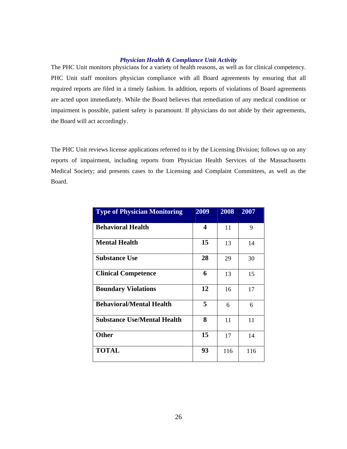#### *Physician Health & Compliance Unit Activity*

The PHC Unit monitors physicians for a variety of health reasons, as well as for clinical competency. PHC Unit staff monitors physician compliance with all Board agreements by ensuring that all required reports are filed in a timely fashion. In addition, reports of violations of Board agreements are acted upon immediately. While the Board believes that remediation of any medical condition or impairment is possible, patient safety is paramount. If physicians do not abide by their agreements, the Board will act accordingly.

The PHC Unit reviews license applications referred to it by the Licensing Division; follows up on any reports of impairment, including reports from Physician Health Services of the Massachusetts Medical Society; and presents cases to the Licensing and Complaint Committees, as well as the Board.

| <b>Type of Physician Monitoring</b> | 2009                    | 2008 | 2007 |
|-------------------------------------|-------------------------|------|------|
| <b>Behavioral Health</b>            | $\overline{\mathbf{4}}$ | 11   | 9    |
| <b>Mental Health</b>                | 15                      | 13   | 14   |
| <b>Substance Use</b>                | 28                      | 29   | 30   |
| <b>Clinical Competence</b>          | 6                       | 13   | 15   |
| <b>Boundary Violations</b>          | 12                      | 16   | 17   |
| <b>Behavioral/Mental Health</b>     | 5                       | 6    | 6    |
| <b>Substance Use/Mental Health</b>  | 8                       | 11   | 11   |
| <b>Other</b>                        | 15                      | 17   | 14   |
| <b>TOTAL</b>                        | 93                      | 116  | 116  |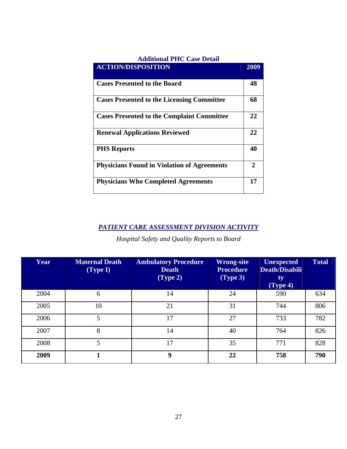| <b>Additional PHC Case Detail</b>                  |      |
|----------------------------------------------------|------|
| <b>ACTION/DISPOSITION</b>                          | 2009 |
| <b>Cases Presented to the Board</b>                | 48   |
| <b>Cases Presented to the Licensing Committee</b>  | 68   |
| <b>Cases Presented to the Complaint Committee</b>  | 22   |
| <b>Renewal Applications Reviewed</b>               | 22   |
| <b>PHS Reports</b>                                 | 40   |
| <b>Physicians Found in Violation of Agreements</b> | 2    |
| <b>Physicians Who Completed Agreements</b>         | 17   |

## *PATIENT CARE ASSESSMENT DIVISION ACTIVITY*

*Hospital Safety and Quality Reports to Board* 

| Year | <b>Maternal Death</b><br>(Type I) | <b>Ambulatory Procedure</b><br><b>Death</b><br>(Type 2) | Wrong-site<br><b>Procedure</b><br>(Type 3) | <b>Unexpected</b><br>Death/Disabili<br>ty<br>(Type 4) | <b>Total</b> |
|------|-----------------------------------|---------------------------------------------------------|--------------------------------------------|-------------------------------------------------------|--------------|
| 2004 | 6                                 | 14                                                      | 24                                         | 590                                                   | 634          |
| 2005 | 10                                | 21                                                      | 31                                         | 744                                                   | 806          |
| 2006 | 5                                 | 17                                                      | 27                                         | 733                                                   | 782          |
| 2007 | 8                                 | 14                                                      | 40                                         | 764                                                   | 826          |
| 2008 | 5                                 | 17                                                      | 35                                         | 771                                                   | 828          |
| 2009 |                                   | 9                                                       | 22                                         | 758                                                   | 790          |